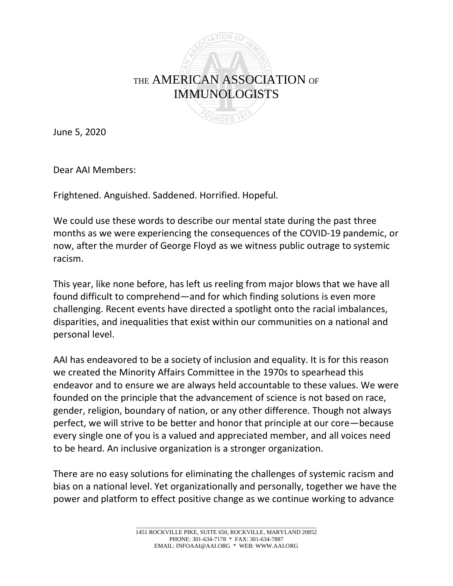

June 5, 2020

Dear AAI Members:

Frightened. Anguished. Saddened. Horrified. Hopeful.

We could use these words to describe our mental state during the past three months as we were experiencing the consequences of the COVID-19 pandemic, or now, after the murder of George Floyd as we witness public outrage to systemic racism.

This year, like none before, has left us reeling from major blows that we have all found difficult to comprehend—and for which finding solutions is even more challenging. Recent events have directed a spotlight onto the racial imbalances, disparities, and inequalities that exist within our communities on a national and personal level.

AAI has endeavored to be a society of inclusion and equality. It is for this reason we created the Minority Affairs Committee in the 1970s to spearhead this endeavor and to ensure we are always held accountable to these values. We were founded on the principle that the advancement of science is not based on race, gender, religion, boundary of nation, or any other difference. Though not always perfect, we will strive to be better and honor that principle at our core—because every single one of you is a valued and appreciated member, and all voices need to be heard. An inclusive organization is a stronger organization.

There are no easy solutions for eliminating the challenges of systemic racism and bias on a national level. Yet organizationally and personally, together we have the power and platform to effect positive change as we continue working to advance